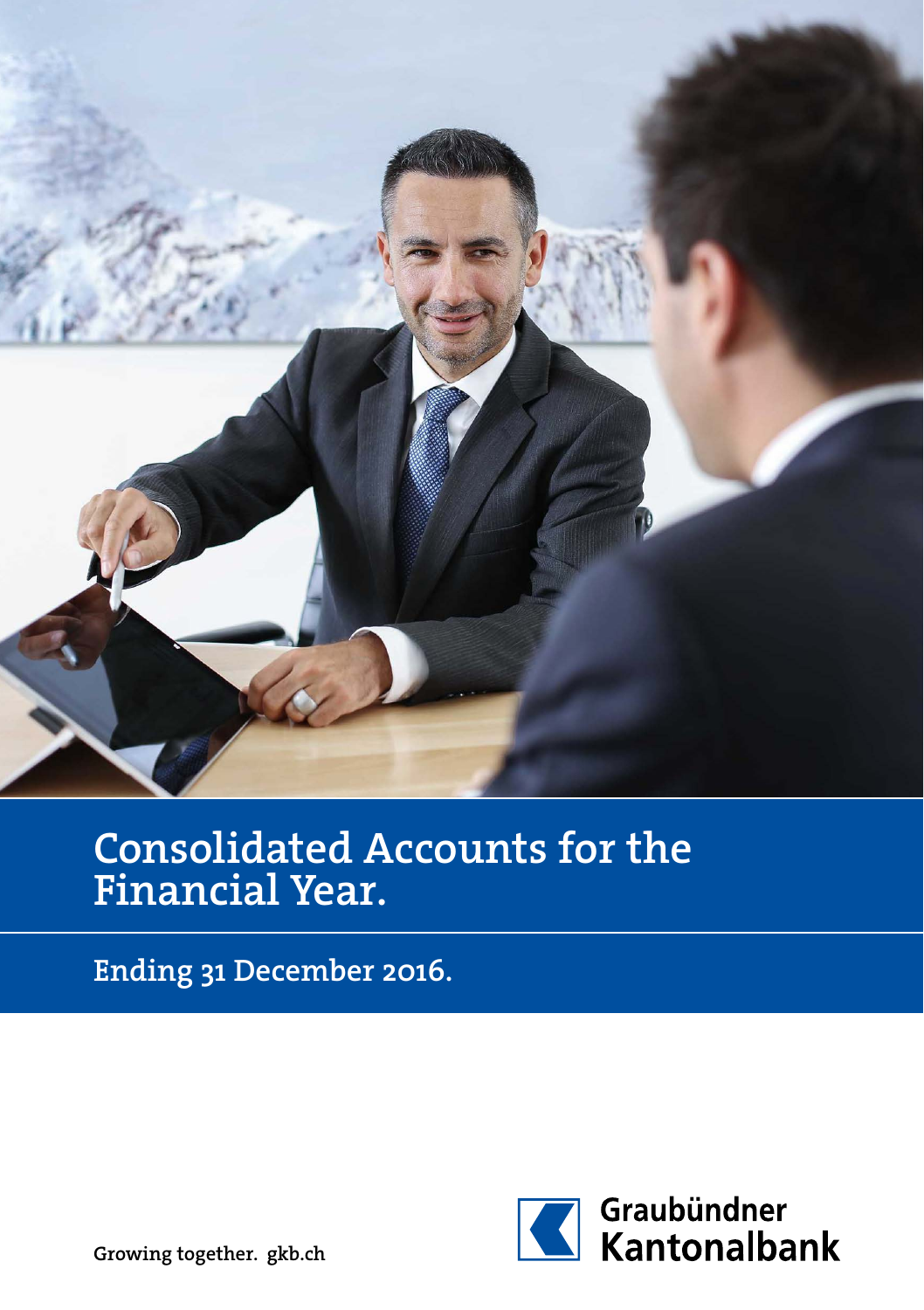

# Consolidated Accounts for the Financial Year.

Ending 31 December 2016.



Growing together. gkb.ch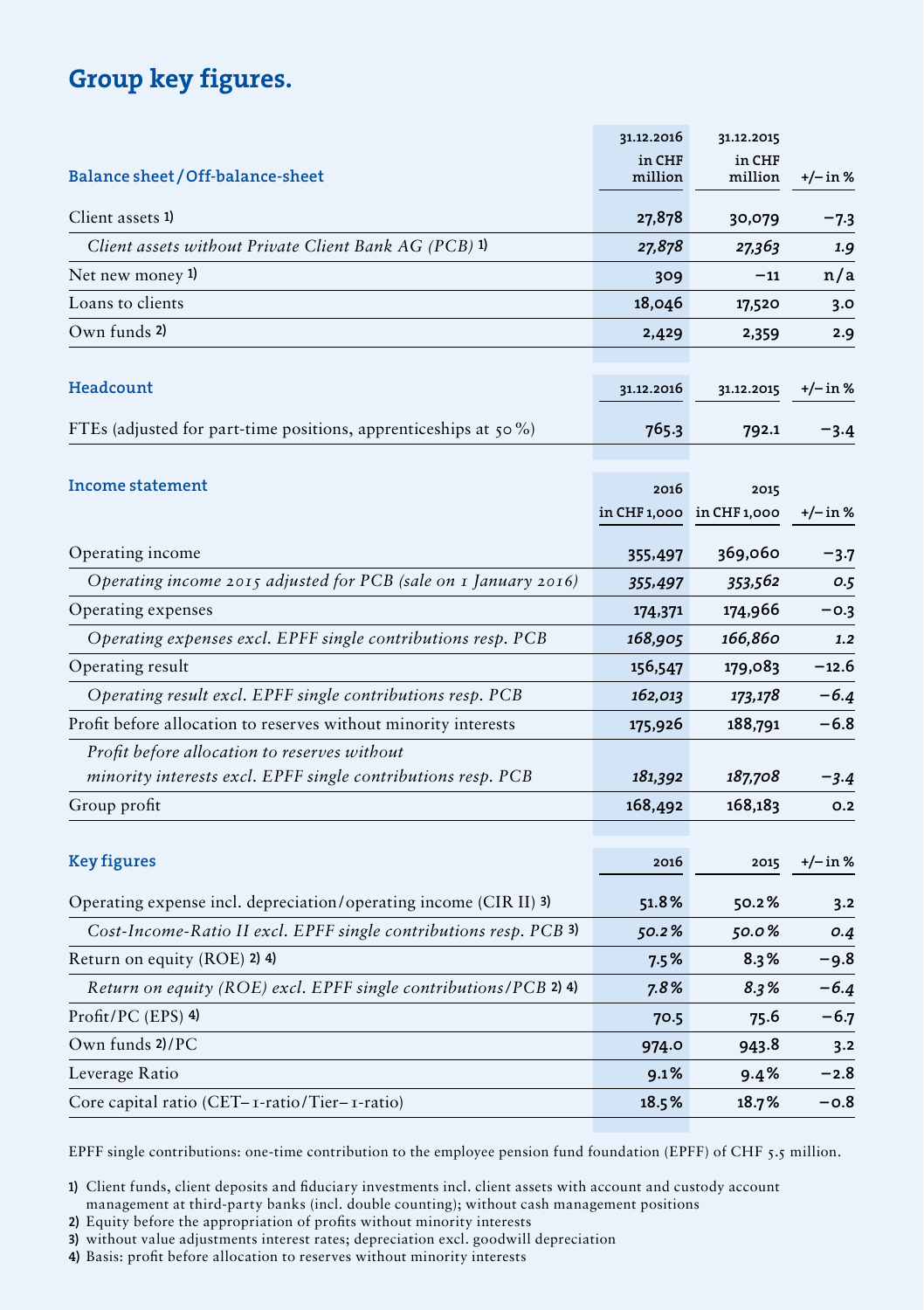### Group key figures.

|                                                                     | 31.12.2016        | 31.12.2015                |          |
|---------------------------------------------------------------------|-------------------|---------------------------|----------|
| Balance sheet/Off-balance-sheet                                     | in CHF<br>million | in CHF<br>million         | +/– in % |
| Client assets 1)                                                    | 27,878            | 30,079                    | -7.3     |
| Client assets without Private Client Bank AG (PCB) 1)               | 27,878            | 27,363                    | 1.9      |
| Net new money 1)                                                    | 309               | $-11$                     | n/a      |
| Loans to clients                                                    | 18,046            | 17,520                    | 3.0      |
| Own funds 2)                                                        | 2,429             | 2,359                     | 2.9      |
|                                                                     |                   |                           |          |
| Headcount                                                           | 31.12.2016        | 31.12.2015                | +/– in % |
| FTEs (adjusted for part-time positions, apprenticeships at $50\%$ ) | 765.3             | 792.1                     | $-3.4$   |
|                                                                     |                   |                           |          |
| Income statement                                                    | 2016              | 2015                      |          |
|                                                                     |                   | in CHF 1,000 in CHF 1,000 | +/– in % |
| Operating income                                                    | 355,497           | 369,060                   | $-3.7$   |
| Operating income 2015 adjusted for PCB (sale on 1 January 2016)     | 355,497           | 353,562                   | 0.5      |
| Operating expenses                                                  | 174,371           | 174,966                   | $-0.3$   |
| Operating expenses excl. EPFF single contributions resp. PCB        | 168,905           | 166,860                   | 1.2      |
| Operating result                                                    | 156,547           | 179,083                   | –12.6    |
| Operating result excl. EPFF single contributions resp. PCB          | 162,013           | 173,178                   | -6.4     |
| Profit before allocation to reserves without minority interests     | 175,926           | 188,791                   | $-6.8$   |
| Profit before allocation to reserves without                        |                   |                           |          |
| minority interests excl. EPFF single contributions resp. PCB        | 181,392           | 187,708                   | $-3.4$   |
| Group profit                                                        | 168,492           | 168,183                   | O.2      |
|                                                                     |                   |                           |          |
| <b>Key figures</b>                                                  | 2016              | 2015                      | +/– in % |
| Operating expense incl. depreciation/operating income (CIR II) 3)   | 51.8%             | 50.2%                     | 3.2      |
| Cost-Income-Ratio II excl. EPFF single contributions resp. PCB 3)   | 50.2%             | 50.0%                     | 0.4      |
| Return on equity (ROE) 2) 4)                                        | $7.5\%$           | $8.3\%$                   | -9.8     |
| Return on equity (ROE) excl. EPFF single contributions/PCB 2) 4)    | 7.8%              | 8.3%                      | -6.4     |
| Profit/PC (EPS) 4)                                                  | 70.5              | 75.6                      | -6.7     |
| Own funds 2)/PC                                                     | 974.0             | 943.8                     | 3.2      |
| Leverage Ratio                                                      | $9.1\%$           | 9.4%                      | -2.8     |
| Core capital ratio (CET– 1-ratio/Tier– 1-ratio)                     | 18.5%             | 18.7%                     | -о.8     |

EPFF single contributions: one-time contribution to the employee pension fund foundation (EPFF) of CHF 5.5 million.

1) Client funds, client deposits and fiduciary investments incl. client assets with account and custody account management at third-party banks (incl. double counting); without cash management positions

2) Equity before the appropriation of profits without minority interests

3) without value adjustments interest rates; depreciation excl. goodwill depreciation

4) Basis: profit before allocation to reserves without minority interests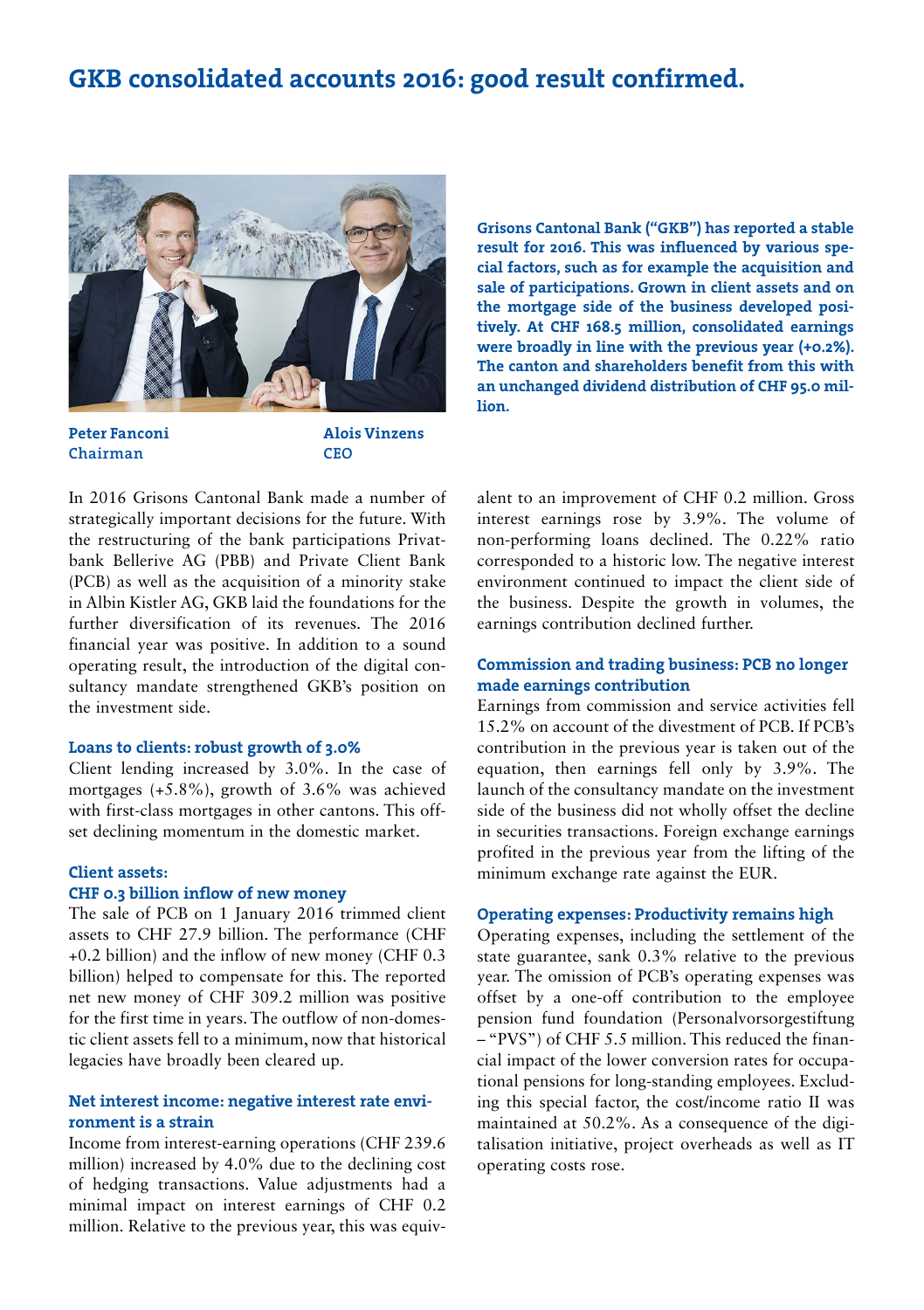### GKB consolidated accounts 2016: good result confirmed.



Peter Fanconi Chairman

Alois Vinzens CEO In 2016 Grisons Cantonal Bank made a number of strategically important decisions for the future. With the restructuring of the bank participations Privatbank Bellerive AG (PBB) and Private Client Bank (PCB) as well as the acquisition of a minority stake in Albin Kistler AG, GKB laid the foundations for the further diversification of its revenues. The 2016 financial year was positive. In addition to a sound

operating result, the introduction of the digital consultancy mandate strengthened GKB's position on the investment side.

### Loans to clients: robust growth of 3.0%

Client lending increased by 3.0%. In the case of mortgages  $(+5.8\%)$ , growth of 3.6% was achieved with first-class mortgages in other cantons. This offset declining momentum in the domestic market.

### Client assets:

### CHF 0.3 billion inflow of new money

The sale of PCB on 1 January 2016 trimmed client assets to CHF 27.9 billion. The performance (CHF +0.2 billion) and the inflow of new money (CHF 0.3 billion) helped to compensate for this. The reported net new money of CHF 309.2 million was positive for the first time in years. The outflow of non-domestic client assets fell to a minimum, now that historical legacies have broadly been cleared up.

### Net interest income: negative interest rate environment is a strain

Income from interest-earning operations (CHF 239.6 million) increased by 4.0% due to the declining cost of hedging transactions. Value adjustments had a minimal impact on interest earnings of CHF 0.2 million. Relative to the previous year, this was equivGrisons Cantonal Bank ("GKB") has reported a stable result for 2016. This was influenced by various special factors, such as for example the acquisition and sale of participations. Grown in client assets and on the mortgage side of the business developed positively. At CHF 168.5 million, consolidated earnings were broadly in line with the previous year (+0.2%). The canton and shareholders benefit from this with an unchanged dividend distribution of CHF 95.0 million.

alent to an improvement of CHF 0.2 million. Gross interest earnings rose by 3.9%. The volume of non-performing loans declined. The 0.22% ratio corresponded to a historic low. The negative interest environment continued to impact the client side of the business. Despite the growth in volumes, the earnings contribution declined further.

### Commission and trading business: PCB no longer made earnings contribution

Earnings from commission and service activities fell 15.2% on account of the divestment of PCB. If PCB's contribution in the previous year is taken out of the equation, then earnings fell only by 3.9%. The launch of the consultancy mandate on the investment side of the business did not wholly offset the decline in securities transactions. Foreign exchange earnings profited in the previous year from the lifting of the minimum exchange rate against the EUR.

### Operating expenses: Productivity remains high

Operating expenses, including the settlement of the state guarantee, sank 0.3% relative to the previous year. The omission of PCB's operating expenses was offset by a one-off contribution to the employee pension fund foundation (Personalvorsorgestiftung – "PVS") of CHF 5.5 million. This reduced the financial impact of the lower conversion rates for occupational pensions for long-standing employees. Excluding this special factor, the cost/income ratio II was maintained at 50.2%. As a consequence of the digitalisation initiative, project overheads as well as IT operating costs rose.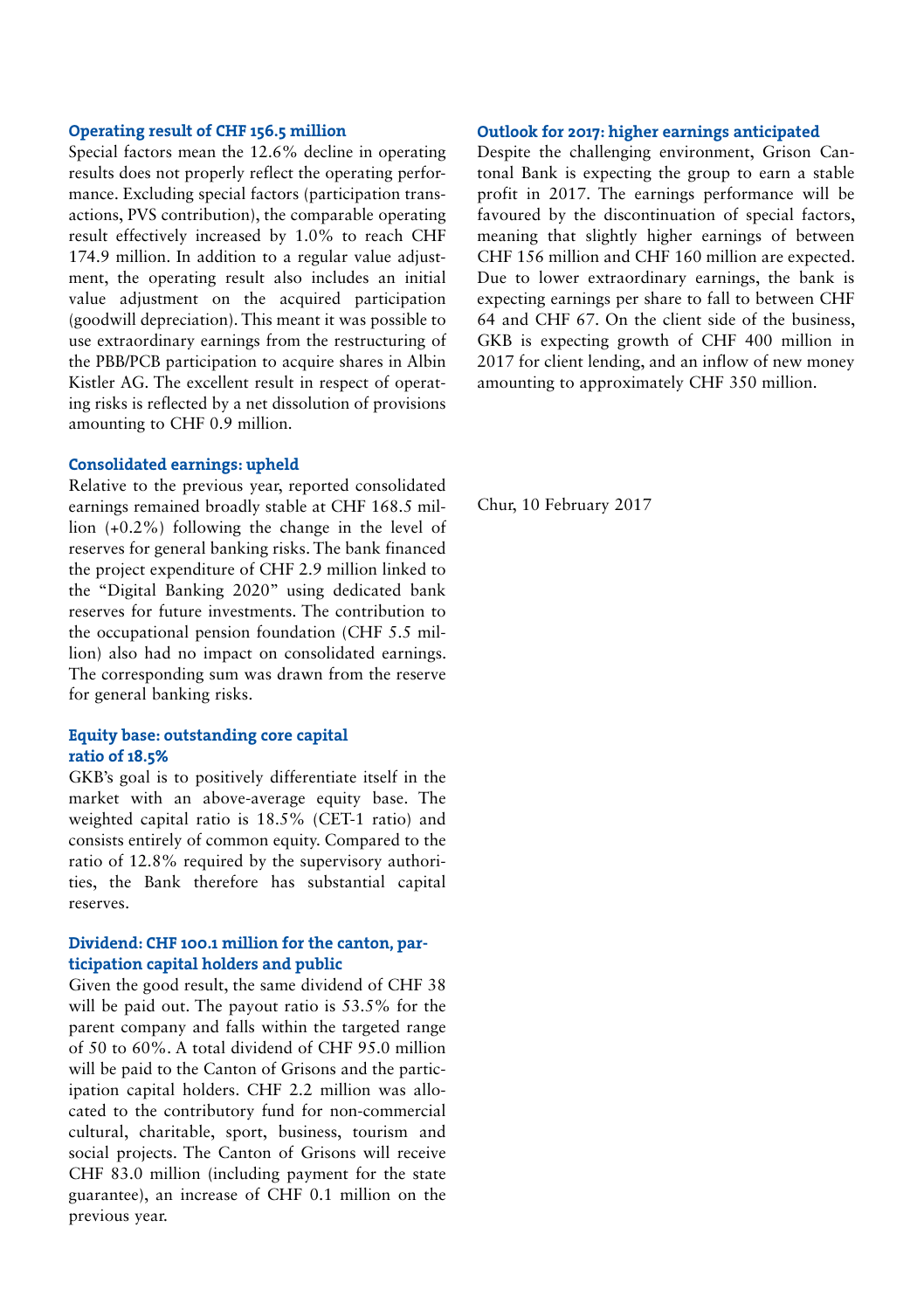### Operating result of CHF 156.5 million

Special factors mean the 12.6% decline in operating results does not properly reflect the operating performance. Excluding special factors (participation transactions, PVS contribution), the comparable operating result effectively increased by 1.0% to reach CHF 174.9 million. In addition to a regular value adjustment, the operating result also includes an initial value adjustment on the acquired participation (goodwill depreciation). This meant it was possible to use extraordinary earnings from the restructuring of the PBB/PCB participation to acquire shares in Albin Kistler AG. The excellent result in respect of operating risks is reflected by a net dissolution of provisions amounting to CHF 0.9 million.

### Consolidated earnings: upheld

Relative to the previous year, reported consolidated earnings remained broadly stable at CHF 168.5 million (+0.2%) following the change in the level of reserves for general banking risks. The bank financed the project expenditure of CHF 2.9 million linked to the "Digital Banking 2020" using dedicated bank reserves for future investments. The contribution to the occupational pension foundation (CHF 5.5 million) also had no impact on consolidated earnings. The corresponding sum was drawn from the reserve for general banking risks.

### Equity base: outstanding core capital ratio of 18.5%

GKB's goal is to positively differentiate itself in the market with an above-average equity base. The weighted capital ratio is 18.5% (CET-1 ratio) and consists entirely of common equity. Compared to the ratio of 12.8% required by the supervisory authorities, the Bank therefore has substantial capital reserves.

### Dividend: CHF 100.1 million for the canton, participation capital holders and public

Given the good result, the same dividend of CHF 38 will be paid out. The payout ratio is 53.5% for the parent company and falls within the targeted range of 50 to 60%. A total dividend of CHF 95.0 million will be paid to the Canton of Grisons and the participation capital holders. CHF 2.2 million was allocated to the contributory fund for non-commercial cultural, charitable, sport, business, tourism and social projects. The Canton of Grisons will receive CHF 83.0 million (including payment for the state guarantee), an increase of CHF 0.1 million on the previous year.

### Outlook for 2017: higher earnings anticipated

Despite the challenging environment, Grison Cantonal Bank is expecting the group to earn a stable profit in 2017. The earnings performance will be favoured by the discontinuation of special factors, meaning that slightly higher earnings of between CHF 156 million and CHF 160 million are expected. Due to lower extraordinary earnings, the bank is expecting earnings per share to fall to between CHF 64 and CHF 67. On the client side of the business, GKB is expecting growth of CHF 400 million in 2017 for client lending, and an inflow of new money amounting to approximately CHF 350 million.

Chur, 10 February 2017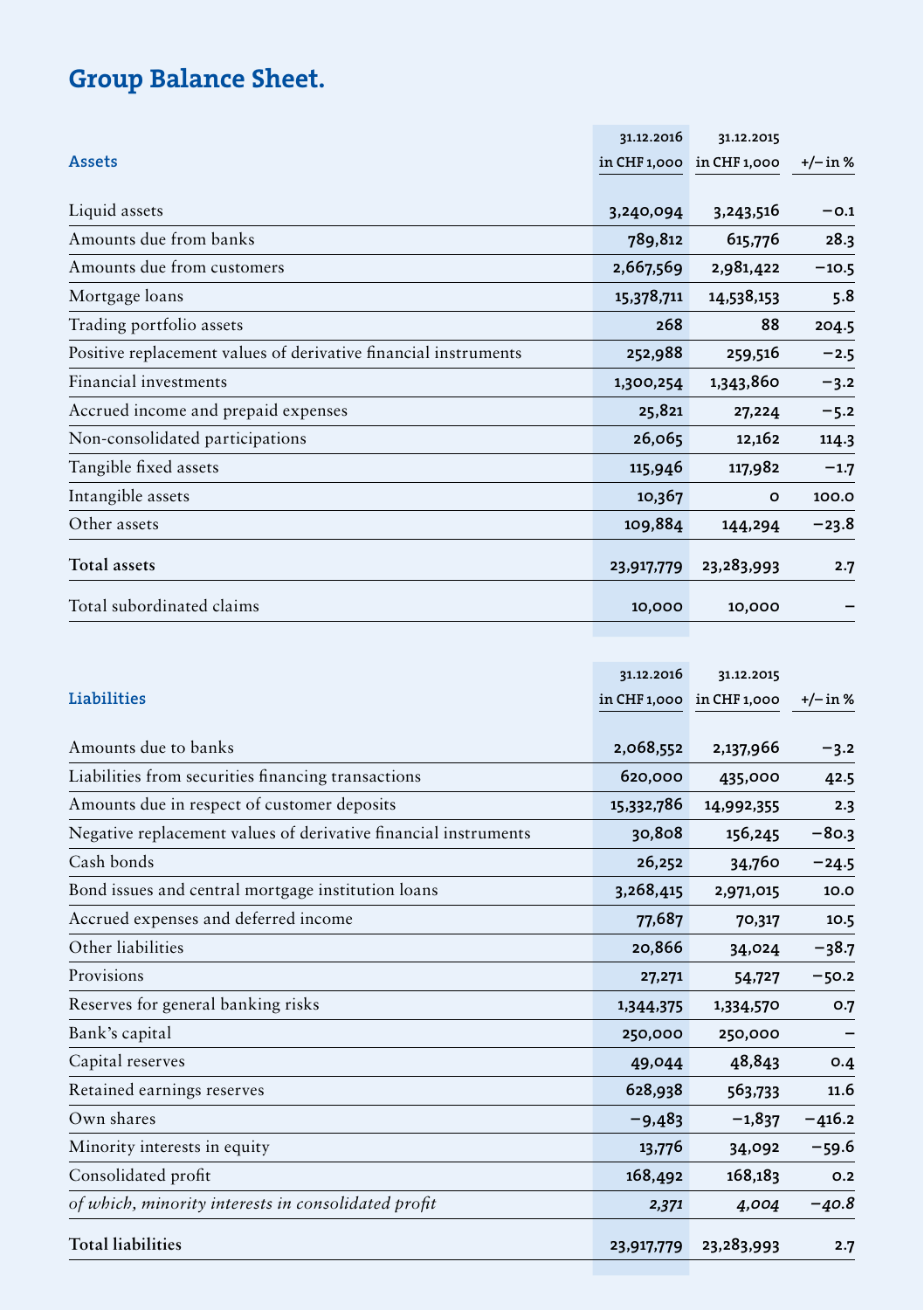## Group Balance Sheet.

|                                                                 | 31.12.2016   | 31.12.2015   |            |
|-----------------------------------------------------------------|--------------|--------------|------------|
| <b>Assets</b>                                                   | in CHF 1,000 | in CHF 1,000 | $+/-$ in % |
|                                                                 |              |              |            |
| Liquid assets                                                   | 3,240,094    | 3,243,516    | $-0.1$     |
| Amounts due from banks                                          | 789,812      | 615,776      | 28.3       |
| Amounts due from customers                                      | 2,667,569    | 2,981,422    | $-10.5$    |
| Mortgage loans                                                  | 15,378,711   | 14,538,153   | 5.8        |
| Trading portfolio assets                                        | 268          | 88           | 204.5      |
| Positive replacement values of derivative financial instruments | 252,988      | 259,516      | $-2.5$     |
| Financial investments                                           | 1,300,254    | 1,343,860    | $-3.2$     |
| Accrued income and prepaid expenses                             | 25,821       | 27,224       | $-5.2$     |
| Non-consolidated participations                                 | 26,065       | 12,162       | 114.3      |
| Tangible fixed assets                                           | 115,946      | 117,982      | $-1.7$     |
| Intangible assets                                               | 10,367       | $\circ$      | 100.0      |
| Other assets                                                    | 109,884      | 144,294      | $-23.8$    |
| <b>Total assets</b>                                             | 23,917,779   | 23,283,993   | 2.7        |
| Total subordinated claims                                       | 10,000       | 10,000       |            |

|                                                                 | 31.12.2016 | 31.12.2015                |            |
|-----------------------------------------------------------------|------------|---------------------------|------------|
| Liabilities                                                     |            | in CHF 1,000 in CHF 1,000 | $+/- in %$ |
| Amounts due to banks                                            | 2,068,552  | 2,137,966                 | $-3.2$     |
| Liabilities from securities financing transactions              | 620,000    | 435,000                   | 42.5       |
| Amounts due in respect of customer deposits                     | 15,332,786 | 14,992,355                | 2.3        |
| Negative replacement values of derivative financial instruments | 30,808     | 156,245                   | $-80.3$    |
| Cash bonds                                                      | 26,252     | 34,760                    | $-24.5$    |
| Bond issues and central mortgage institution loans              | 3,268,415  | 2,971,015                 | 10.0       |
| Accrued expenses and deferred income                            | 77,687     | 70,317                    | 10.5       |
| Other liabilities                                               | 20,866     | 34,024                    | $-38.7$    |
| Provisions                                                      | 27,271     | 54,727                    | $-50.2$    |
| Reserves for general banking risks                              | 1,344,375  | 1,334,570                 | O.7        |
| Bank's capital                                                  | 250,000    | 250,000                   |            |
| Capital reserves                                                | 49,044     | 48,843                    | 0.4        |
| Retained earnings reserves                                      | 628,938    | 563,733                   | 11.6       |
| Own shares                                                      | $-9,483$   | $-1,837$                  | $-416.2$   |
| Minority interests in equity                                    | 13,776     | 34,092                    | $-59.6$    |
| Consolidated profit                                             | 168,492    | 168,183                   | O.2        |
| of which, minority interests in consolidated profit             | 2,371      | 4,004                     | $-40.8$    |
| <b>Total liabilities</b>                                        | 23,917,779 | 23,283,993                | 2.7        |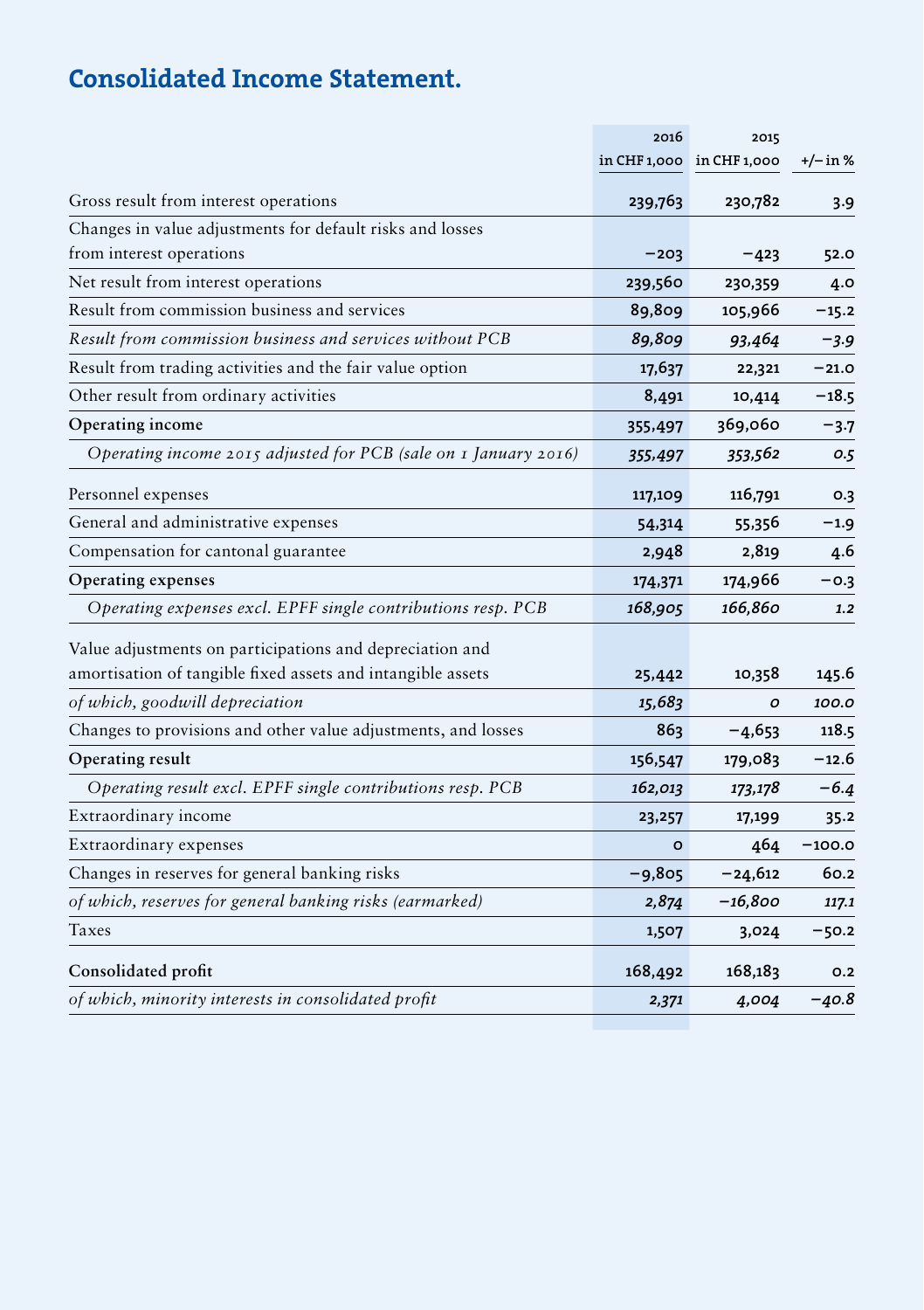## Consolidated Income Statement.

|                                                                 | 2016     | 2015                      |          |
|-----------------------------------------------------------------|----------|---------------------------|----------|
|                                                                 |          | in CHF 1,000 in CHF 1,000 | +/– in % |
| Gross result from interest operations                           | 239,763  | 230,782                   | 3.9      |
| Changes in value adjustments for default risks and losses       |          |                           |          |
| from interest operations                                        | $-203$   | $-423$                    | 52.0     |
| Net result from interest operations                             | 239,560  | 230,359                   | 4.0      |
| Result from commission business and services                    | 89,809   | 105,966                   | $-15.2$  |
| Result from commission business and services without PCB        | 89,809   | 93,464                    | -3.9     |
| Result from trading activities and the fair value option        | 17,637   | 22,321                    | $-21.0$  |
| Other result from ordinary activities                           | 8,491    | 10,414                    | $-18.5$  |
| Operating income                                                | 355,497  | 369,060                   | -3.7     |
| Operating income 2015 adjusted for PCB (sale on 1 January 2016) | 355,497  | 353,562                   | 0.5      |
| Personnel expenses                                              | 117,109  | 116,791                   | 0.3      |
| General and administrative expenses                             | 54,314   | 55,356                    | -1.9     |
| Compensation for cantonal guarantee                             | 2,948    | 2,819                     | 4.6      |
| Operating expenses                                              | 174,371  | 174,966                   | $-0.3$   |
| Operating expenses excl. EPFF single contributions resp. PCB    | 168,905  | 166,860                   | 1.2      |
| Value adjustments on participations and depreciation and        |          |                           |          |
| amortisation of tangible fixed assets and intangible assets     | 25,442   | 10,358                    | 145.6    |
| of which, goodwill depreciation                                 | 15,683   | O                         | 100.0    |
| Changes to provisions and other value adjustments, and losses   | 863      | -4,653                    | 118.5    |
| Operating result                                                | 156,547  | 179,083                   | $-12.6$  |
| Operating result excl. EPFF single contributions resp. PCB      | 162,013  | 173,178                   | $-6.4$   |
| Extraordinary income                                            | 23,257   | 17,199                    | 35.2     |
| Extraordinary expenses                                          | $\circ$  | 464                       | $-100.0$ |
| Changes in reserves for general banking risks                   | $-9,805$ | –24,612                   | 60.2     |
| of which, reserves for general banking risks (earmarked)        | 2,874    | $-16,800$                 | 117.1    |
| Taxes                                                           | 1,507    | 3,024                     | $-50.2$  |
| Consolidated profit                                             | 168,492  | 168,183                   | O.2      |
| of which, minority interests in consolidated profit             | 2,371    | 4,004                     | $-40.8$  |

**Contract Contract**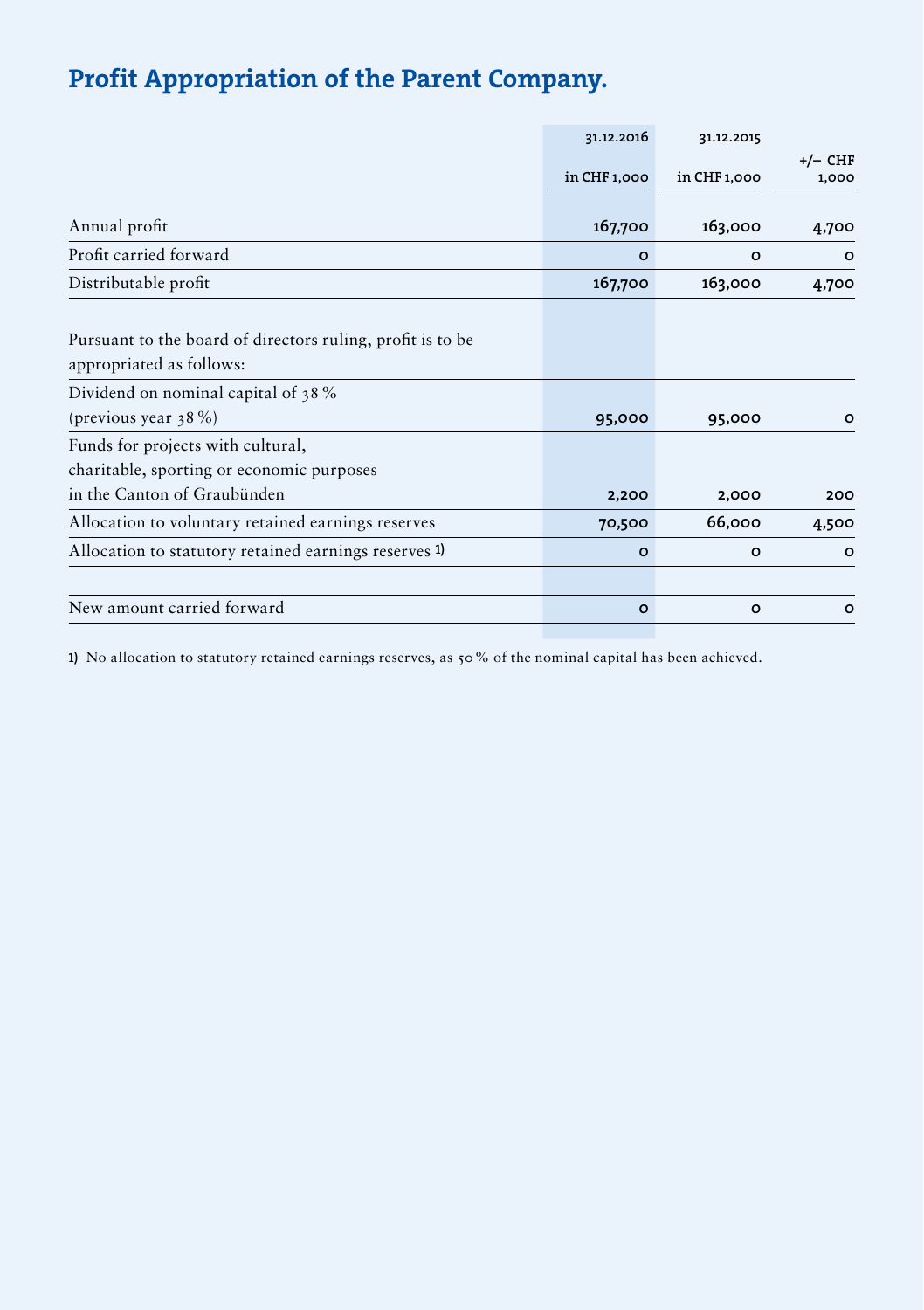## Profit Appropriation of the Parent Company.

| in CHF 1,000<br>167,700 | in CHF 1,000 | $+/-$ CHF<br>1,000 |
|-------------------------|--------------|--------------------|
|                         |              |                    |
|                         |              | 4,700              |
| $\circ$                 | $\circ$      | $\circ$            |
| 167,700                 | 163,000      | 4,700              |
|                         |              |                    |
|                         |              |                    |
| 95,000                  | 95,000       | O                  |
| 2,200                   | 2,000        | 200                |
| 70,500                  | 66,000       | 4,500              |
| $\circ$                 | $\circ$      | $\circ$            |
| $\circ$                 | $\Omega$     | $\circ$            |
|                         |              | 163,000            |

1) No allocation to statutory retained earnings reserves, as 50% of the nominal capital has been achieved.